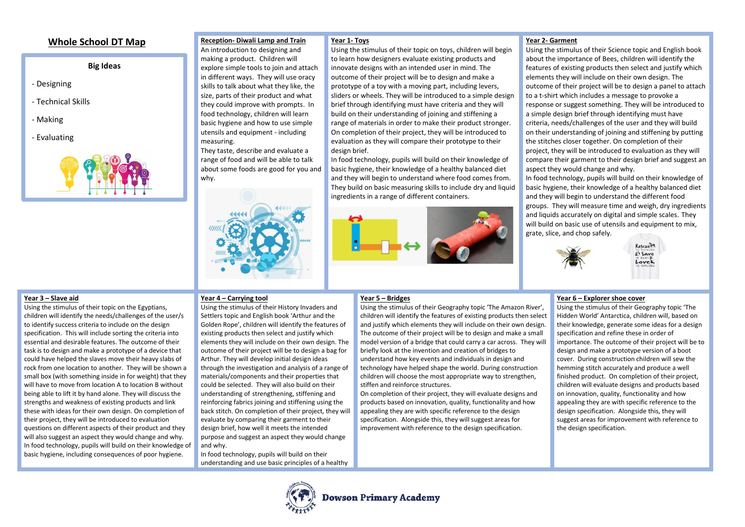# **Whole School DT Map**

# **Big Ideas**

- Designing
- Technical Skills
- Making
- Evaluating



#### **Reception- Diwali Lamp and Train Year 1- Toys**

An introduction to designing and making a product. Children will explore simple tools to join and attach in different ways. They will use oracy skills to talk about what they like, the size, parts of their product and what they could improve with prompts. In food technology, children will learn basic hygiene and how to use simple utensils and equipment - including measuring. They taste, describe and evaluate a

range of food and will be able to talk about some foods are good for you and why.



Using the stimulus of their topic on toys, children will begin to learn how designers evaluate existing products and innovate designs with an intended user in mind. The outcome of their project will be to design and make a prototype of a toy with a moving part, including levers, sliders or wheels. They will be introduced to a simple design brief through identifying must have criteria and they will build on their understanding of joining and stiffening a range of materials in order to make their product stronger. On completion of their project, they will be introduced to evaluation as they will compare their prototype to their design brief.

In food technology, pupils will build on their knowledge of basic hygiene, their knowledge of a healthy balanced diet and they will begin to understand where food comes from. They build on basic measuring skills to include dry and liquid ingredients in a range of different containers.



# **Year 2- Garment**

Using the stimulus of their Science topic and English book about the importance of Bees, children will identify the features of existing products then select and justify which elements they will include on their own design. The outcome of their project will be to design a panel to attach to a t-shirt which includes a message to provoke a response or suggest something. They will be introduced to a simple design brief through identifying must have criteria, needs/challenges of the user and they will build on their understanding of joining and stiffening by putting the stitches closer together. On completion of their project, they will be introduced to evaluation as they will compare their garment to their design brief and suggest an aspect they would change and why.

In food technology, pupils will build on their knowledge of basic hygiene, their knowledge of a healthy balanced diet and they will begin to understand the different food groups. They will measure time and weigh, dry ingredients and liquids accurately on digital and simple scales. They will build on basic use of utensils and equipment to mix, grate, slice, and chop safely.



# Rescuella *at Save* Lovek

### **Year 3 – Slave aid**

Using the stimulus of their topic on the Egyptians, children will identify the needs/challenges of the user/s to identify success criteria to include on the design specification. This will include sorting the criteria into essential and desirable features. The outcome of their task is to design and make a prototype of a device that could have helped the slaves move their heavy slabs of rock from one location to another. They will be shown a small box (with something inside in for weight) that they will have to move from location A to location B without being able to lift it by hand alone. They will discuss the strengths and weakness of existing products and link these with ideas for their own design. On completion of their project, they will be introduced to evaluation questions on different aspects of their product and they will also suggest an aspect they would change and why. In food technology, pupils will build on their knowledge of basic hygiene, including consequences of poor hygiene.

# **Year 4 – Carrying tool**

Using the stimulus of their History Invaders and Settlers topic and English book 'Arthur and the Golden Rope', children will identify the features of existing products then select and justify which elements they will include on their own design. The outcome of their project will be to design a bag for Arthur. They will develop initial design ideas through the investigation and analysis of a range of materials/components and their properties that could be selected. They will also build on their understanding of strengthening, stiffening and reinforcing fabrics joining and stiffening using the back stitch. On completion of their project, they will evaluate by comparing their garment to their design brief, how well it meets the intended purpose and suggest an aspect they would change and why.

In food technology, pupils will build on their understanding and use basic principles of a healthy

## **Year 5 – Bridges**

Using the stimulus of their Geography topic 'The Amazon River', children will identify the features of existing products then select and justify which elements they will include on their own design. The outcome of their project will be to design and make a small model version of a bridge that could carry a car across. They will briefly look at the invention and creation of bridges to understand how key events and individuals in design and technology have helped shape the world. During construction children will choose the most appropriate way to strengthen, stiffen and reinforce structures.

On completion of their project, they will evaluate designs and products based on innovation, quality, functionality and how appealing they are with specific reference to the design specification. Alongside this, they will suggest areas for improvement with reference to the design specification.

## **Year 6 – Explorer shoe cover**

Using the stimulus of their Geography topic 'The Hidden World' Antarctica, children will, based on their knowledge, generate some ideas for a design specification and refine these in order of importance. The outcome of their project will be to design and make a prototype version of a boot cover. During construction children will sew the hemming stitch accurately and produce a well finished product. On completion of their project, children will evaluate designs and products based on innovation, quality, functionality and how appealing they are with specific reference to the design specification. Alongside this, they will suggest areas for improvement with reference to the design specification.